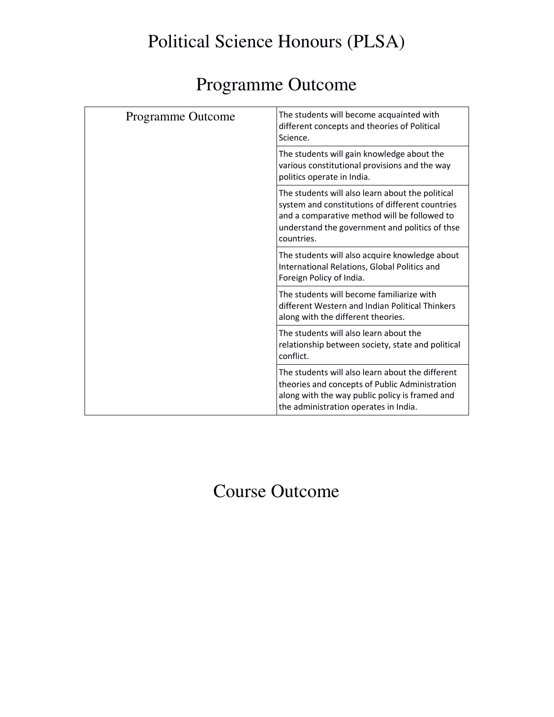## Political Science Honours (PLSA)

## Programme Outcome

| Programme Outcome | The students will become acquainted with<br>different concepts and theories of Political<br>Science.                                                                                                                |
|-------------------|---------------------------------------------------------------------------------------------------------------------------------------------------------------------------------------------------------------------|
|                   | The students will gain knowledge about the<br>various constitutional provisions and the way<br>politics operate in India.                                                                                           |
|                   | The students will also learn about the political<br>system and constitutions of different countries<br>and a comparative method will be followed to<br>understand the government and politics of thse<br>countries. |
|                   | The students will also acquire knowledge about<br>International Relations, Global Politics and<br>Foreign Policy of India.                                                                                          |
|                   | The students will become familiarize with<br>different Western and Indian Political Thinkers<br>along with the different theories.                                                                                  |
|                   | The students will also learn about the<br>relationship between society, state and political<br>conflict.                                                                                                            |
|                   | The students will also learn about the different<br>theories and concepts of Public Administration<br>along with the way public policy is framed and<br>the administration operates in India.                       |
|                   |                                                                                                                                                                                                                     |

## Course Outcome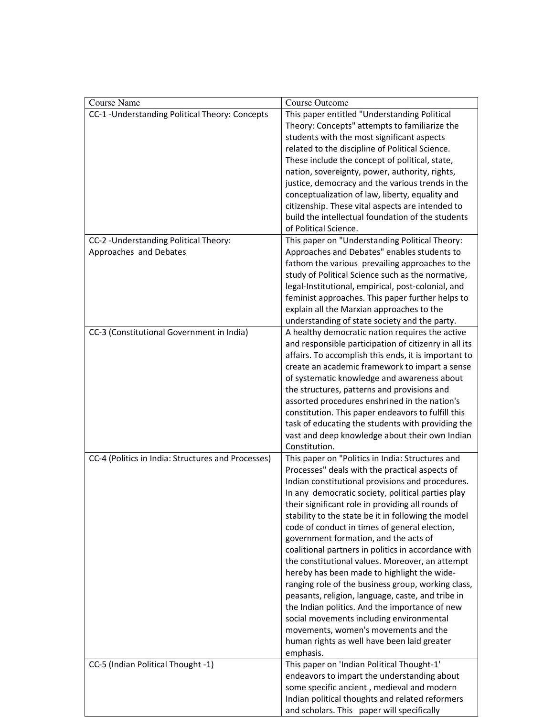| <b>Course Name</b>                                 | <b>Course Outcome</b>                                 |
|----------------------------------------------------|-------------------------------------------------------|
|                                                    |                                                       |
| CC-1 - Understanding Political Theory: Concepts    | This paper entitled "Understanding Political          |
|                                                    | Theory: Concepts" attempts to familiarize the         |
|                                                    | students with the most significant aspects            |
|                                                    | related to the discipline of Political Science.       |
|                                                    | These include the concept of political, state,        |
|                                                    | nation, sovereignty, power, authority, rights,        |
|                                                    | justice, democracy and the various trends in the      |
|                                                    | conceptualization of law, liberty, equality and       |
|                                                    | citizenship. These vital aspects are intended to      |
|                                                    | build the intellectual foundation of the students     |
|                                                    | of Political Science.                                 |
| CC-2 - Understanding Political Theory:             | This paper on "Understanding Political Theory:        |
| Approaches and Debates                             | Approaches and Debates" enables students to           |
|                                                    | fathom the various prevailing approaches to the       |
|                                                    |                                                       |
|                                                    | study of Political Science such as the normative,     |
|                                                    | legal-Institutional, empirical, post-colonial, and    |
|                                                    | feminist approaches. This paper further helps to      |
|                                                    | explain all the Marxian approaches to the             |
|                                                    | understanding of state society and the party.         |
| CC-3 (Constitutional Government in India)          | A healthy democratic nation requires the active       |
|                                                    | and responsible participation of citizenry in all its |
|                                                    | affairs. To accomplish this ends, it is important to  |
|                                                    | create an academic framework to impart a sense        |
|                                                    | of systematic knowledge and awareness about           |
|                                                    | the structures, patterns and provisions and           |
|                                                    | assorted procedures enshrined in the nation's         |
|                                                    | constitution. This paper endeavors to fulfill this    |
|                                                    | task of educating the students with providing the     |
|                                                    | vast and deep knowledge about their own Indian        |
|                                                    | Constitution.                                         |
| CC-4 (Politics in India: Structures and Processes) | This paper on "Politics in India: Structures and      |
|                                                    | Processes" deals with the practical aspects of        |
|                                                    |                                                       |
|                                                    | Indian constitutional provisions and procedures.      |
|                                                    | In any democratic society, political parties play     |
|                                                    | their significant role in providing all rounds of     |
|                                                    | stability to the state be it in following the model   |
|                                                    | code of conduct in times of general election,         |
|                                                    | government formation, and the acts of                 |
|                                                    | coalitional partners in politics in accordance with   |
|                                                    | the constitutional values. Moreover, an attempt       |
|                                                    | hereby has been made to highlight the wide-           |
|                                                    | ranging role of the business group, working class,    |
|                                                    | peasants, religion, language, caste, and tribe in     |
|                                                    | the Indian politics. And the importance of new        |
|                                                    | social movements including environmental              |
|                                                    | movements, women's movements and the                  |
|                                                    | human rights as well have been laid greater           |
|                                                    | emphasis.                                             |
| CC-5 (Indian Political Thought -1)                 | This paper on 'Indian Political Thought-1'            |
|                                                    | endeavors to impart the understanding about           |
|                                                    | some specific ancient, medieval and modern            |
|                                                    |                                                       |
|                                                    | Indian political thoughts and related reformers       |
|                                                    | and scholars. This paper will specifically            |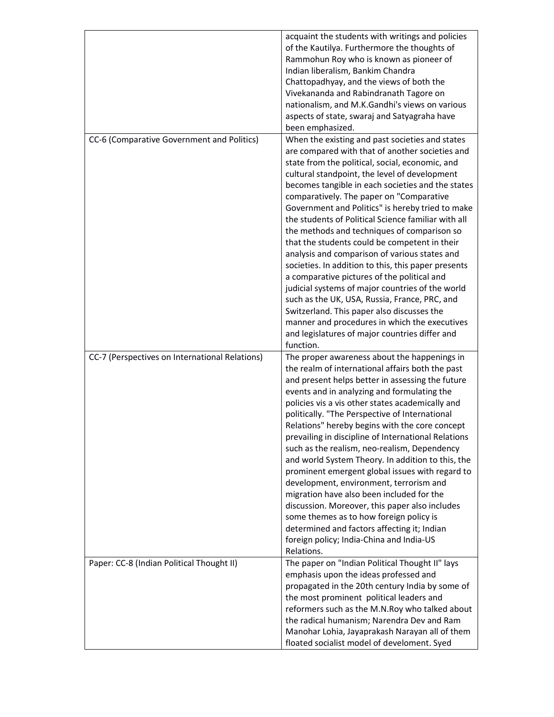|                                                | acquaint the students with writings and policies<br>of the Kautilya. Furthermore the thoughts of<br>Rammohun Roy who is known as pioneer of<br>Indian liberalism, Bankim Chandra<br>Chattopadhyay, and the views of both the<br>Vivekananda and Rabindranath Tagore on<br>nationalism, and M.K.Gandhi's views on various<br>aspects of state, swaraj and Satyagraha have<br>been emphasized.                                                                                                                                                                                                                                                                                                                                                                                                                                                                                                                                                 |
|------------------------------------------------|----------------------------------------------------------------------------------------------------------------------------------------------------------------------------------------------------------------------------------------------------------------------------------------------------------------------------------------------------------------------------------------------------------------------------------------------------------------------------------------------------------------------------------------------------------------------------------------------------------------------------------------------------------------------------------------------------------------------------------------------------------------------------------------------------------------------------------------------------------------------------------------------------------------------------------------------|
| CC-6 (Comparative Government and Politics)     | When the existing and past societies and states<br>are compared with that of another societies and<br>state from the political, social, economic, and<br>cultural standpoint, the level of development<br>becomes tangible in each societies and the states<br>comparatively. The paper on "Comparative<br>Government and Politics" is hereby tried to make<br>the students of Political Science familiar with all<br>the methods and techniques of comparison so<br>that the students could be competent in their<br>analysis and comparison of various states and<br>societies. In addition to this, this paper presents<br>a comparative pictures of the political and<br>judicial systems of major countries of the world<br>such as the UK, USA, Russia, France, PRC, and<br>Switzerland. This paper also discusses the<br>manner and procedures in which the executives<br>and legislatures of major countries differ and<br>function. |
| CC-7 (Perspectives on International Relations) | The proper awareness about the happenings in<br>the realm of international affairs both the past<br>and present helps better in assessing the future<br>events and in analyzing and formulating the<br>policies vis a vis other states academically and<br>politically. "The Perspective of International<br>Relations" hereby begins with the core concept<br>prevailing in discipline of International Relations<br>such as the realism, neo-realism, Dependency<br>and world System Theory. In addition to this, the<br>prominent emergent global issues with regard to<br>development, environment, terrorism and<br>migration have also been included for the<br>discussion. Moreover, this paper also includes<br>some themes as to how foreign policy is<br>determined and factors affecting it; Indian<br>foreign policy; India-China and India-US<br>Relations.                                                                     |
| Paper: CC-8 (Indian Political Thought II)      | The paper on "Indian Political Thought II" lays<br>emphasis upon the ideas professed and<br>propagated in the 20th century India by some of<br>the most prominent political leaders and<br>reformers such as the M.N.Roy who talked about<br>the radical humanism; Narendra Dev and Ram<br>Manohar Lohia, Jayaprakash Narayan all of them<br>floated socialist model of develoment. Syed                                                                                                                                                                                                                                                                                                                                                                                                                                                                                                                                                     |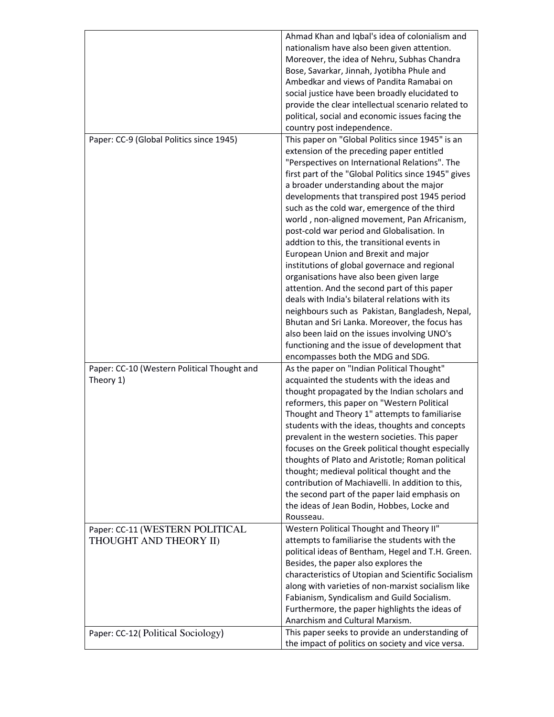|                                             | Ahmad Khan and Iqbal's idea of colonialism and                                                       |
|---------------------------------------------|------------------------------------------------------------------------------------------------------|
|                                             | nationalism have also been given attention.                                                          |
|                                             | Moreover, the idea of Nehru, Subhas Chandra                                                          |
|                                             | Bose, Savarkar, Jinnah, Jyotibha Phule and                                                           |
|                                             | Ambedkar and views of Pandita Ramabai on                                                             |
|                                             | social justice have been broadly elucidated to                                                       |
|                                             | provide the clear intellectual scenario related to                                                   |
|                                             | political, social and economic issues facing the                                                     |
|                                             | country post independence.                                                                           |
| Paper: CC-9 (Global Politics since 1945)    | This paper on "Global Politics since 1945" is an                                                     |
|                                             | extension of the preceding paper entitled                                                            |
|                                             | "Perspectives on International Relations". The                                                       |
|                                             | first part of the "Global Politics since 1945" gives                                                 |
|                                             | a broader understanding about the major                                                              |
|                                             | developments that transpired post 1945 period                                                        |
|                                             | such as the cold war, emergence of the third                                                         |
|                                             | world, non-aligned movement, Pan Africanism,                                                         |
|                                             | post-cold war period and Globalisation. In                                                           |
|                                             |                                                                                                      |
|                                             | addtion to this, the transitional events in                                                          |
|                                             | European Union and Brexit and major<br>institutions of global governace and regional                 |
|                                             |                                                                                                      |
|                                             | organisations have also been given large                                                             |
|                                             | attention. And the second part of this paper<br>deals with India's bilateral relations with its      |
|                                             |                                                                                                      |
|                                             | neighbours such as Pakistan, Bangladesh, Nepal,<br>Bhutan and Sri Lanka. Moreover, the focus has     |
|                                             | also been laid on the issues involving UNO's                                                         |
|                                             | functioning and the issue of development that                                                        |
|                                             | encompasses both the MDG and SDG.                                                                    |
| Paper: CC-10 (Western Political Thought and | As the paper on "Indian Political Thought"                                                           |
| Theory 1)                                   | acquainted the students with the ideas and                                                           |
|                                             | thought propagated by the Indian scholars and                                                        |
|                                             | reformers, this paper on "Western Political                                                          |
|                                             | Thought and Theory 1" attempts to familiarise                                                        |
|                                             | students with the ideas, thoughts and concepts                                                       |
|                                             | prevalent in the western societies. This paper                                                       |
|                                             | focuses on the Greek political thought especially                                                    |
|                                             |                                                                                                      |
|                                             | thoughts of Plato and Aristotle; Roman political                                                     |
|                                             | thought; medieval political thought and the<br>contribution of Machiavelli. In addition to this,     |
|                                             |                                                                                                      |
|                                             | the second part of the paper laid emphasis on                                                        |
|                                             | the ideas of Jean Bodin, Hobbes, Locke and                                                           |
|                                             | Rousseau.                                                                                            |
| Paper: CC-11 (WESTERN POLITICAL             | Western Political Thought and Theory II"                                                             |
| THOUGHT AND THEORY II)                      | attempts to familiarise the students with the                                                        |
|                                             | political ideas of Bentham, Hegel and T.H. Green.                                                    |
|                                             | Besides, the paper also explores the                                                                 |
|                                             | characteristics of Utopian and Scientific Socialism                                                  |
|                                             | along with varieties of non-marxist socialism like                                                   |
|                                             | Fabianism, Syndicalism and Guild Socialism.                                                          |
|                                             | Furthermore, the paper highlights the ideas of<br>Anarchism and Cultural Marxism.                    |
|                                             |                                                                                                      |
| Paper: CC-12(Political Sociology)           | This paper seeks to provide an understanding of<br>the impact of politics on society and vice versa. |
|                                             |                                                                                                      |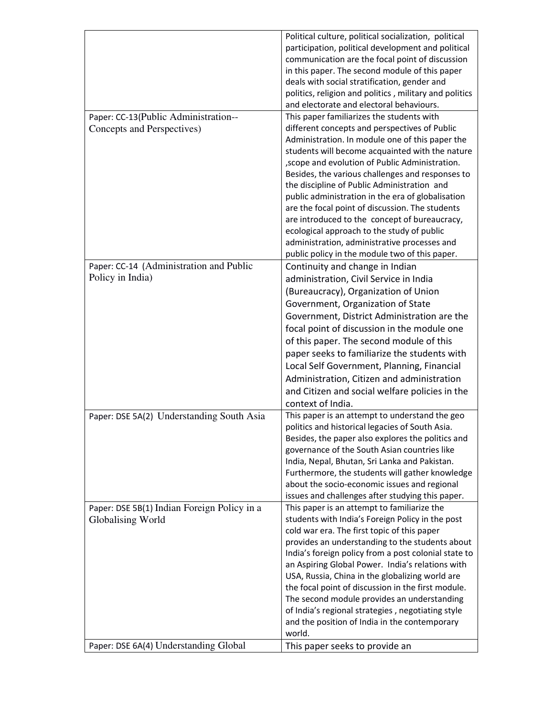|                                                                    | Political culture, political socialization, political<br>participation, political development and political<br>communication are the focal point of discussion<br>in this paper. The second module of this paper<br>deals with social stratification, gender and<br>politics, religion and politics, military and politics<br>and electorate and electoral behaviours. |
|--------------------------------------------------------------------|------------------------------------------------------------------------------------------------------------------------------------------------------------------------------------------------------------------------------------------------------------------------------------------------------------------------------------------------------------------------|
| Paper: CC-13(Public Administration--<br>Concepts and Perspectives) | This paper familiarizes the students with<br>different concepts and perspectives of Public                                                                                                                                                                                                                                                                             |
|                                                                    | Administration. In module one of this paper the<br>students will become acquainted with the nature<br>, scope and evolution of Public Administration.<br>Besides, the various challenges and responses to<br>the discipline of Public Administration and                                                                                                               |
|                                                                    | public administration in the era of globalisation                                                                                                                                                                                                                                                                                                                      |
|                                                                    | are the focal point of discussion. The students<br>are introduced to the concept of bureaucracy,                                                                                                                                                                                                                                                                       |
|                                                                    | ecological approach to the study of public<br>administration, administrative processes and<br>public policy in the module two of this paper.                                                                                                                                                                                                                           |
| Paper: CC-14 (Administration and Public<br>Policy in India)        | Continuity and change in Indian                                                                                                                                                                                                                                                                                                                                        |
|                                                                    | administration, Civil Service in India<br>(Bureaucracy), Organization of Union                                                                                                                                                                                                                                                                                         |
|                                                                    | Government, Organization of State                                                                                                                                                                                                                                                                                                                                      |
|                                                                    | Government, District Administration are the                                                                                                                                                                                                                                                                                                                            |
|                                                                    | focal point of discussion in the module one                                                                                                                                                                                                                                                                                                                            |
|                                                                    | of this paper. The second module of this                                                                                                                                                                                                                                                                                                                               |
|                                                                    | paper seeks to familiarize the students with<br>Local Self Government, Planning, Financial                                                                                                                                                                                                                                                                             |
|                                                                    | Administration, Citizen and administration                                                                                                                                                                                                                                                                                                                             |
|                                                                    | and Citizen and social welfare policies in the                                                                                                                                                                                                                                                                                                                         |
|                                                                    | context of India.                                                                                                                                                                                                                                                                                                                                                      |
| Paper: DSE 5A(2) Understanding South Asia                          | This paper is an attempt to understand the geo                                                                                                                                                                                                                                                                                                                         |
|                                                                    | politics and historical legacies of South Asia.<br>Besides, the paper also explores the politics and<br>governance of the South Asian countries like                                                                                                                                                                                                                   |
|                                                                    | India, Nepal, Bhutan, Sri Lanka and Pakistan.<br>Furthermore, the students will gather knowledge                                                                                                                                                                                                                                                                       |
|                                                                    | about the socio-economic issues and regional                                                                                                                                                                                                                                                                                                                           |
| Paper: DSE 5B(1) Indian Foreign Policy in a                        | issues and challenges after studying this paper.<br>This paper is an attempt to familiarize the                                                                                                                                                                                                                                                                        |
| Globalising World                                                  | students with India's Foreign Policy in the post                                                                                                                                                                                                                                                                                                                       |
|                                                                    | cold war era. The first topic of this paper                                                                                                                                                                                                                                                                                                                            |
|                                                                    | provides an understanding to the students about                                                                                                                                                                                                                                                                                                                        |
|                                                                    | India's foreign policy from a post colonial state to<br>an Aspiring Global Power. India's relations with                                                                                                                                                                                                                                                               |
|                                                                    | USA, Russia, China in the globalizing world are                                                                                                                                                                                                                                                                                                                        |
|                                                                    | the focal point of discussion in the first module.                                                                                                                                                                                                                                                                                                                     |
|                                                                    | The second module provides an understanding                                                                                                                                                                                                                                                                                                                            |
|                                                                    | of India's regional strategies, negotiating style<br>and the position of India in the contemporary<br>world.                                                                                                                                                                                                                                                           |
| Paper: DSE 6A(4) Understanding Global                              | This paper seeks to provide an                                                                                                                                                                                                                                                                                                                                         |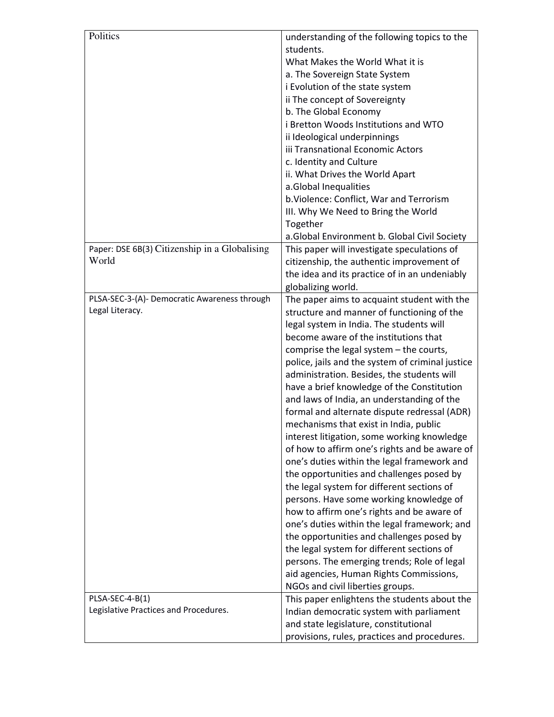| Politics                                      | understanding of the following topics to the     |
|-----------------------------------------------|--------------------------------------------------|
|                                               | students.                                        |
|                                               | What Makes the World What it is                  |
|                                               | a. The Sovereign State System                    |
|                                               | i Evolution of the state system                  |
|                                               | ii The concept of Sovereignty                    |
|                                               | b. The Global Economy                            |
|                                               | i Bretton Woods Institutions and WTO             |
|                                               | ii Ideological underpinnings                     |
|                                               | iii Transnational Economic Actors                |
|                                               | c. Identity and Culture                          |
|                                               | ii. What Drives the World Apart                  |
|                                               | a.Global Inequalities                            |
|                                               | b. Violence: Conflict, War and Terrorism         |
|                                               | III. Why We Need to Bring the World              |
|                                               | Together                                         |
|                                               | a.Global Environment b. Global Civil Society     |
| Paper: DSE 6B(3) Citizenship in a Globalising | This paper will investigate speculations of      |
| World                                         | citizenship, the authentic improvement of        |
|                                               | the idea and its practice of in an undeniably    |
|                                               | globalizing world.                               |
| PLSA-SEC-3-(A)- Democratic Awareness through  | The paper aims to acquaint student with the      |
| Legal Literacy.                               | structure and manner of functioning of the       |
|                                               | legal system in India. The students will         |
|                                               | become aware of the institutions that            |
|                                               | comprise the legal system - the courts,          |
|                                               | police, jails and the system of criminal justice |
|                                               | administration. Besides, the students will       |
|                                               | have a brief knowledge of the Constitution       |
|                                               | and laws of India, an understanding of the       |
|                                               | formal and alternate dispute redressal (ADR)     |
|                                               | mechanisms that exist in India, public           |
|                                               | interest litigation, some working knowledge      |
|                                               | of how to affirm one's rights and be aware of    |
|                                               | one's duties within the legal framework and      |
|                                               | the opportunities and challenges posed by        |
|                                               | the legal system for different sections of       |
|                                               | persons. Have some working knowledge of          |
|                                               | how to affirm one's rights and be aware of       |
|                                               | one's duties within the legal framework; and     |
|                                               | the opportunities and challenges posed by        |
|                                               | the legal system for different sections of       |
|                                               | persons. The emerging trends; Role of legal      |
|                                               | aid agencies, Human Rights Commissions,          |
|                                               | NGOs and civil liberties groups.                 |
| PLSA-SEC-4-B(1)                               | This paper enlightens the students about the     |
| Legislative Practices and Procedures.         | Indian democratic system with parliament         |
|                                               | and state legislature, constitutional            |
|                                               | provisions, rules, practices and procedures.     |
|                                               |                                                  |